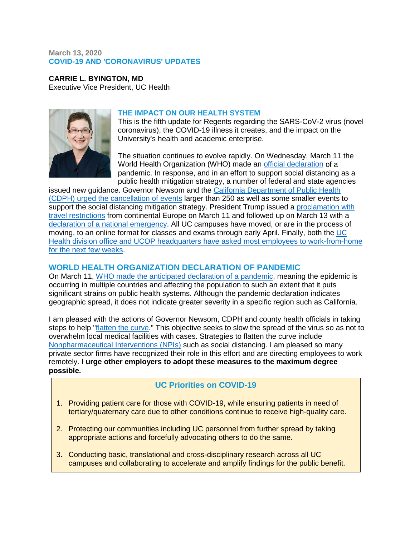#### **March 13, 2020 COVID-19 AND 'CORONAVIRUS' UPDATES**

**CARRIE L. BYINGTON, MD** Executive Vice President, UC Health



#### **THE IMPACT ON OUR HEALTH SYSTEM**

This is the fifth update for Regents regarding the SARS-CoV-2 virus (novel coronavirus), the COVID-19 illness it creates, and the impact on the University's health and academic enterprise.

The situation continues to evolve rapidly. On Wednesday, March 11 the World Health Organization (WHO) made an [official declaration](https://www.who.int/docs/default-source/coronaviruse/situation-reports/20200311-sitrep-51-covid-19.pdf?sfvrsn=1ba62e57_8) of a pandemic. In response, and in an effort to support social distancing as a public health mitigation strategy, a number of federal and state agencies

issued new guidance. Governor Newsom and the [California Department of Public Health](https://www.cdph.ca.gov/Programs/CID/DCDC/CDPH%20Document%20Library/Gathering_Guidance_03.11.20.pdf)  [\(CDPH\) urged the cancellation of events](https://www.cdph.ca.gov/Programs/CID/DCDC/CDPH%20Document%20Library/Gathering_Guidance_03.11.20.pdf) larger than 250 as well as some smaller events to support the social distancing mitigation strategy. President Trump issued a proclamation with [travel restrictions](https://www.whitehouse.gov/presidential-actions/proclamation-suspension-entry-immigrants-nonimmigrants-certain-additional-persons-pose-risk-transmitting-2019-novel-coronavirus/) from continental Europe on March 11 and followed up on March 13 with a [declaration of a national emergency.](https://www.whitehouse.gov/presidential-actions/proclamation-declaring-national-emergency-concerning-novel-coronavirus-disease-covid-19-outbreak/) All UC campuses have moved, or are in the process of moving, to an online format for classes and exams through early April. Finally, both the [UC](https://www.ucop.edu/coronavirus/)  [Health division office and UCOP headquarters have asked most employees to work-from-home](https://www.ucop.edu/coronavirus/)  [for the next few weeks.](https://www.ucop.edu/coronavirus/)

# **WORLD HEALTH ORGANIZATION DECLARATION OF PANDEMIC**

On March 11, [WHO made the anticipated declaration of a pandemic,](https://www.who.int/docs/default-source/coronaviruse/situation-reports/20200311-sitrep-51-covid-19.pdf?sfvrsn=1ba62e57_8) meaning the epidemic is occurring in multiple countries and affecting the population to such an extent that it puts significant strains on public health systems. Although the pandemic declaration indicates geographic spread, it does not indicate greater severity in a specific region such as California.

I am pleased with the actions of Governor Newsom, CDPH and county health officials in taking steps to help ["flatten the curve.](https://papers.ssrn.com/sol3/papers.cfm?abstract_id=3549276)" This objective seeks to slow the spread of the virus so as not to overwhelm local medical facilities with cases. Strategies to flatten the curve include [Nonpharmaceutical Interventions](https://www.cdc.gov/nonpharmaceutical-interventions/) (NPIs) such as social distancing. I am pleased so many private sector firms have recognized their role in this effort and are directing employees to work remotely. **I urge other employers to adopt these measures to the maximum degree possible.**

# **UC Priorities on COVID-19**

- 1. Providing patient care for those with COVID-19, while ensuring patients in need of tertiary/quaternary care due to other conditions continue to receive high-quality care.
- 2. Protecting our communities including UC personnel from further spread by taking appropriate actions and forcefully advocating others to do the same.
- 3. Conducting basic, translational and cross-disciplinary research across all UC campuses and collaborating to accelerate and amplify findings for the public benefit.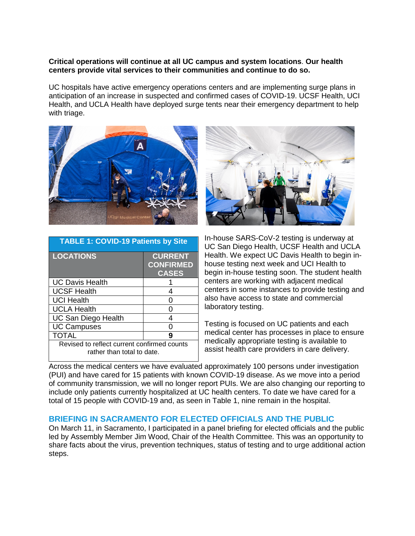#### **Critical operations will continue at all UC campus and system locations**. **Our health centers provide vital services to their communities and continue to do so.**

UC hospitals have active emergency operations centers and are implementing surge plans in anticipation of an increase in suspected and confirmed cases of COVID-19. UCSF Health, UCI Health, and UCLA Health have deployed surge tents near their emergency department to help with triage.



| <b>TABLE 1: COVID-19 Patients by Site</b>                                 |                                                    |
|---------------------------------------------------------------------------|----------------------------------------------------|
| <b>LOCATIONS</b>                                                          | <b>CURRENT</b><br><b>CONFIRMED</b><br><b>CASES</b> |
| <b>UC Davis Health</b>                                                    |                                                    |
| <b>UCSF Health</b>                                                        | 4                                                  |
| <b>UCI Health</b>                                                         |                                                    |
| <b>UCLA Health</b>                                                        |                                                    |
| <b>UC San Diego Health</b>                                                | Δ                                                  |
| <b>UC Campuses</b>                                                        |                                                    |
| TOTAL                                                                     | 9                                                  |
| Revised to reflect current confirmed counts<br>rather than total to date. |                                                    |



In-house SARS-CoV-2 testing is underway at UC San Diego Health, UCSF Health and UCLA Health. We expect UC Davis Health to begin inhouse testing next week and UCI Health to begin in-house testing soon. The student health centers are working with adjacent medical centers in some instances to provide testing and also have access to state and commercial laboratory testing.

Testing is focused on UC patients and each medical center has processes in place to ensure medically appropriate testing is available to assist health care providers in care delivery.

Across the medical centers we have evaluated approximately 100 persons under investigation (PUI) and have cared for 15 patients with known COVID-19 disease. As we move into a period of community transmission, we will no longer report PUIs. We are also changing our reporting to include only patients currently hospitalized at UC health centers. To date we have cared for a total of 15 people with COVID-19 and, as seen in Table 1, nine remain in the hospital.

#### **BRIEFING IN SACRAMENTO FOR ELECTED OFFICIALS AND THE PUBLIC**

On March 11, in Sacramento, I participated in a panel briefing for elected officials and the public led by Assembly Member Jim Wood, Chair of the Health Committee. This was an opportunity to share facts about the virus, prevention techniques, status of testing and to urge additional action steps.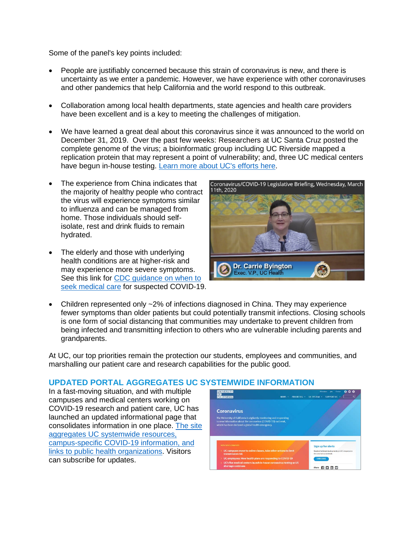Some of the panel's key points included:

- People are justifiably concerned because this strain of coronavirus is new, and there is uncertainty as we enter a pandemic. However, we have experience with other coronaviruses and other pandemics that help California and the world respond to this outbreak.
- Collaboration among local health departments, state agencies and health care providers have been excellent and is a key to meeting the challenges of mitigation.
- We have learned a great deal about this coronavirus since it was announced to the world on December 31, 2019. Over the past few weeks: Researchers at UC Santa Cruz posted the complete genome of the virus; a bioinformatic group including UC Riverside mapped a replication protein that may represent a point of vulnerability; and, three UC medical centers have begun in-house testing. [Learn more about UC's efforts here.](https://ucnet.universityofcalifornia.edu/news/2020/02/on-the-front-lines-combatting-sars-cov-2-and-covid-19.html)
- The experience from China indicates that the majority of healthy people who contract the virus will experience symptoms similar to influenza and can be managed from home. Those individuals should selfisolate, rest and drink fluids to remain hydrated.
- The elderly and those with underlying health conditions are at higher-risk and may experience more severe symptoms. See this link for CDC guidance on when to [seek medical care](https://www.cdc.gov/coronavirus/2019-ncov/about/share-facts.html) for suspected COVID-19.



• Children represented only ~2% of infections diagnosed in China. They may experience fewer symptoms than older patients but could potentially transmit infections. Closing schools is one form of social distancing that communities may undertake to prevent children from being infected and transmitting infection to others who are vulnerable including parents and grandparents.

At UC, our top priorities remain the protection our students, employees and communities, and marshalling our patient care and research capabilities for the public good.

# **UPDATED PORTAL AGGREGATES UC SYSTEMWIDE INFORMATION**

In a fast-moving situation, and with multiple campuses and medical centers working on COVID-19 research and patient care, UC has launched an updated informational page that consolidates information in one place. [The site](https://www.universityofcalifornia.edu/coronavirus)  [aggregates UC systemwide resources,](https://www.universityofcalifornia.edu/coronavirus)  [campus-specific COVID-19](https://www.universityofcalifornia.edu/coronavirus) information, and [links to public health organizations.](https://www.universityofcalifornia.edu/coronavirus) Visitors can subscribe for updates.

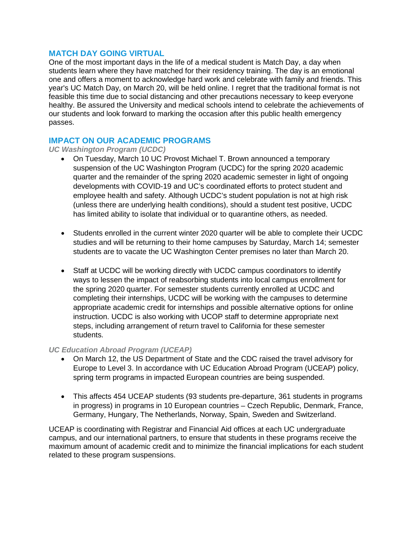#### **MATCH DAY GOING VIRTUAL**

One of the most important days in the life of a medical student is Match Day, a day when students learn where they have matched for their residency training. The day is an emotional one and offers a moment to acknowledge hard work and celebrate with family and friends. This year's UC Match Day, on March 20, will be held online. I regret that the traditional format is not feasible this time due to social distancing and other precautions necessary to keep everyone healthy. Be assured the University and medical schools intend to celebrate the achievements of our students and look forward to marking the occasion after this public health emergency passes.

# **IMPACT ON OUR ACADEMIC PROGRAMS**

*UC Washington Program (UCDC)*

- On Tuesday, March 10 UC Provost Michael T. Brown announced a temporary suspension of the UC Washington Program (UCDC) for the spring 2020 academic quarter and the remainder of the spring 2020 academic semester in light of ongoing developments with COVID-19 and UC's coordinated efforts to protect student and employee health and safety. Although UCDC's student population is not at high risk (unless there are underlying health conditions), should a student test positive, UCDC has limited ability to isolate that individual or to quarantine others, as needed.
- Students enrolled in the current winter 2020 quarter will be able to complete their UCDC studies and will be returning to their home campuses by Saturday, March 14; semester students are to vacate the UC Washington Center premises no later than March 20.
- Staff at UCDC will be working directly with UCDC campus coordinators to identify ways to lessen the impact of reabsorbing students into local campus enrollment for the spring 2020 quarter. For semester students currently enrolled at UCDC and completing their internships, UCDC will be working with the campuses to determine appropriate academic credit for internships and possible alternative options for online instruction. UCDC is also working with UCOP staff to determine appropriate next steps, including arrangement of return travel to California for these semester students.

#### *UC Education Abroad Program (UCEAP)*

- On March 12, the US Department of State and the CDC raised the travel advisory for Europe to Level 3. In accordance with UC Education Abroad Program (UCEAP) policy, spring term programs in impacted European countries are being suspended.
- This affects 454 UCEAP students (93 students pre-departure, 361 students in programs in progress) in programs in 10 European countries – Czech Republic, Denmark, France, Germany, Hungary, The Netherlands, Norway, Spain, Sweden and Switzerland.

UCEAP is coordinating with Registrar and Financial Aid offices at each UC undergraduate campus, and our international partners, to ensure that students in these programs receive the maximum amount of academic credit and to minimize the financial implications for each student related to these program suspensions.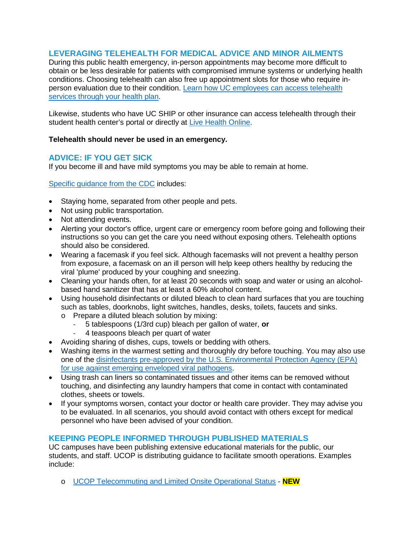# **LEVERAGING TELEHEALTH FOR MEDICAL ADVICE AND MINOR AILMENTS**

During this public health emergency, in-person appointments may become more difficult to obtain or be less desirable for patients with compromised immune systems or underlying health conditions. Choosing telehealth can also free up appointment slots for those who require inperson evaluation due to their condition. [Learn how UC employees can access telehealth](https://ucnet.universityofcalifornia.edu/news/2020/03/your-health-plans-response-to-the-coronavirus-covid-19-outbreak.html)  [services through your health plan.](https://ucnet.universityofcalifornia.edu/news/2020/03/your-health-plans-response-to-the-coronavirus-covid-19-outbreak.html)

Likewise, students who have UC SHIP or other insurance can access telehealth through their student health center's portal or directly at [Live Health Online.](https://livehealthonline.com/)

#### **Telehealth should never be used in an emergency.**

# **ADVICE: IF YOU GET SICK**

If you become ill and have mild symptoms you may be able to remain at home.

[Specific guidance from the CDC](https://www.cdc.gov/coronavirus/2019-ncov/community/home/cleaning-disinfection.html) includes:

- Staying home, separated from other people and pets.
- Not using public transportation.
- Not attending events.
- Alerting your doctor's office, urgent care or emergency room before going and following their instructions so you can get the care you need without exposing others. Telehealth options should also be considered.
- Wearing a facemask if you feel sick. Although facemasks will not prevent a healthy person from exposure, a facemask on an ill person will help keep others healthy by reducing the viral 'plume' produced by your coughing and sneezing.
- Cleaning your hands often, for at least 20 seconds with soap and water or using an alcoholbased hand sanitizer that has at least a 60% alcohol content.
- Using household disinfectants or diluted bleach to clean hard surfaces that you are touching such as tables, doorknobs, light switches, handles, desks, toilets, faucets and sinks.
	- o Prepare a diluted bleach solution by mixing:
		- 5 tablespoons (1/3rd cup) bleach per gallon of water, **or**
		- 4 teaspoons bleach per quart of water
- Avoiding sharing of dishes, cups, towels or bedding with others.
- Washing items in the warmest setting and thoroughly dry before touching. You may also use one of the [disinfectants pre-approved by the U.S. Environmental Protection Agency \(EPA\)](https://www.americanchemistry.com/Novel-Coronavirus-Fighting-Products-List.pdf)  [for use against emerging enveloped viral pathogens.](https://www.americanchemistry.com/Novel-Coronavirus-Fighting-Products-List.pdf)
- Using trash can liners so contaminated tissues and other items can be removed without touching, and disinfecting any laundry hampers that come in contact with contaminated clothes, sheets or towels.
- If your symptoms worsen, contact your doctor or health care provider. They may advise you to be evaluated. In all scenarios, you should avoid contact with others except for medical personnel who have been advised of your condition.

# **KEEPING PEOPLE INFORMED THROUGH PUBLISHED MATERIALS**

UC campuses have been publishing extensive educational materials for the public, our students, and staff. UCOP is distributing guidance to facilitate smooth operations. Examples include:

o [UCOP Telecommuting and Limited Onsite Operational Status](https://www.ucop.edu/coronavirus/) - **NEW**